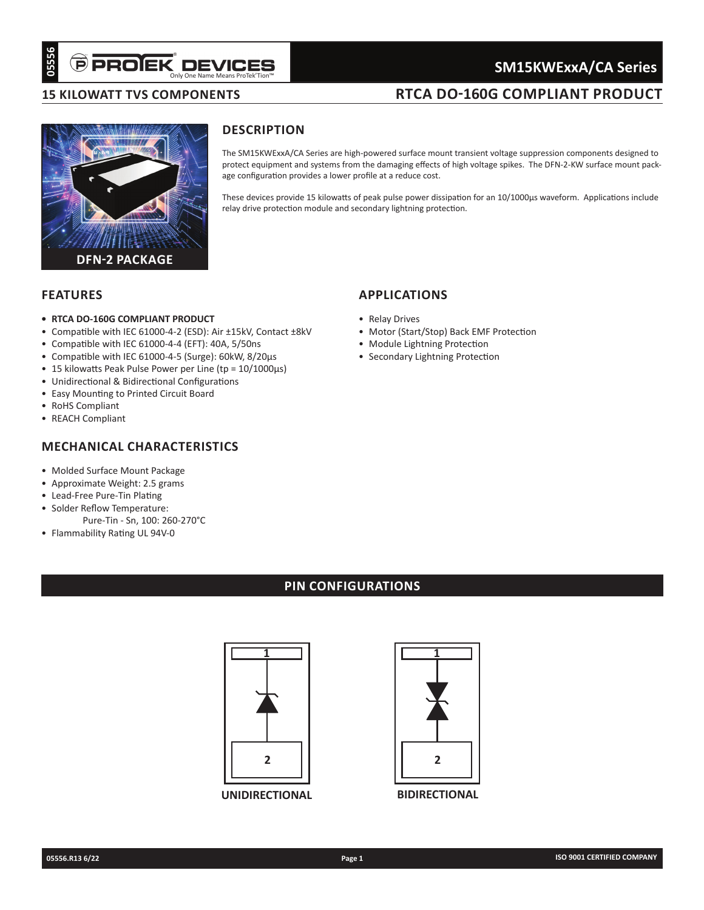# Only One Name Means ProTek'Tion™

## **SM15KWExxA/CA Series**

## **RTCA DO-160G COMPLIANT PRODUCT**

## **15 kilowatt TVS ComponentS**



## **Description**

The SM15KWExxA/CA Series are high-powered surface mount transient voltage suppression components designed to protect equipment and systems from the damaging effects of high voltage spikes. The DFN-2-KW surface mount package configuration provides a lower profile at a reduce cost.

These devices provide 15 kilowatts of peak pulse power dissipation for an 10/1000µs waveform. Applications include relay drive protection module and secondary lightning protection.

### **Features**

- **• RTCA DO-160G COMPLIANT PRODUCT**
- Compatible with IEC 61000-4-2 (ESD): Air ±15kV, Contact ±8kV
- Compatible with IEC 61000-4-4 (EFT): 40A, 5/50ns
- Compatible with IEC 61000-4-5 (Surge): 60kW, 8/20µs
- 15 kilowatts Peak Pulse Power per Line (tp = 10/1000µs)
- Unidirectional & Bidirectional Configurations
- Easy Mounting to Printed Circuit Board
- RoHS Compliant
- REACH Compliant

## **mechanical characteristics**

- Molded Surface Mount Package
- Approximate Weight: 2.5 grams
- Lead-Free Pure-Tin Plating
- Solder Reflow Temperature: Pure-Tin - Sn, 100: 260-270°C
- Flammability Rating UL 94V-0

## **applications**

- Relay Drives
- Motor (Start/Stop) Back EMF Protection
- Module Lightning Protection
- Secondary Lightning Protection

## **pin configurations**



**UNIDIRECTIONAL**



**BIDIRECTIONAL**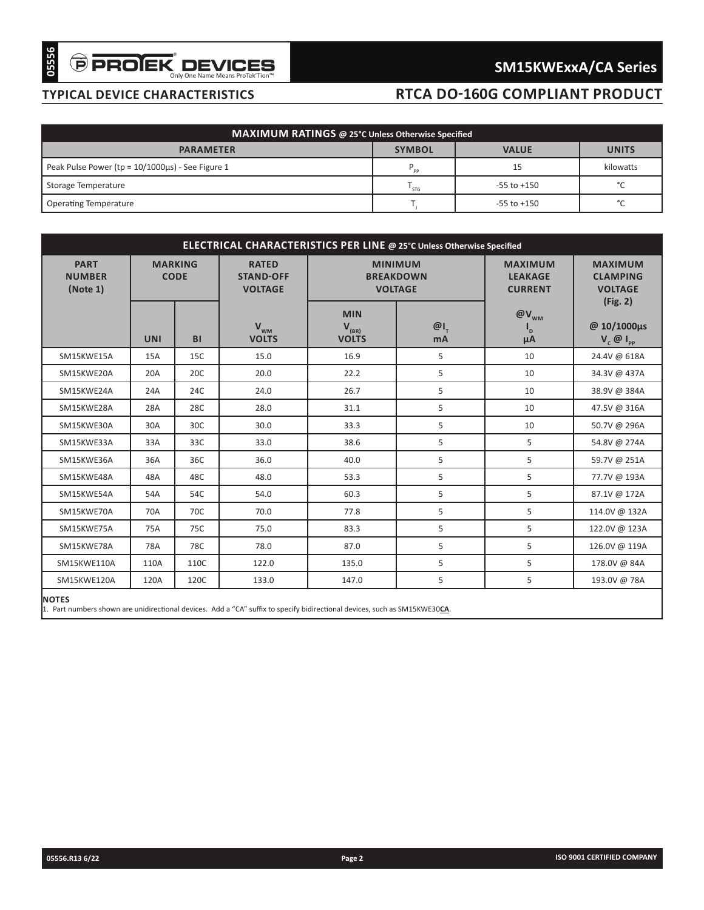# $\widehat{\boldsymbol{\Theta}}$  PRO $\widehat{\boldsymbol{\mathsf{EK}}}$  DEVICES

# **SM15KWExxA/CA Series**

## **typical device characteristics**

# **RTCA DO-160G COMPLIANT PRODUCT**

| MAXIMUM RATINGS @ 25°C Unless Otherwise Specified |               |                 |              |  |  |  |  |  |
|---------------------------------------------------|---------------|-----------------|--------------|--|--|--|--|--|
| <b>PARAMETER</b>                                  | <b>SYMBOL</b> | <b>VALUE</b>    | <b>UNITS</b> |  |  |  |  |  |
| Peak Pulse Power (tp = 10/1000us) - See Figure 1  | $P_{\rm pp}$  |                 | kilowatts    |  |  |  |  |  |
| Storage Temperature                               | STG           | $-55$ to $+150$ | $\circ$      |  |  |  |  |  |
| <b>Operating Temperature</b>                      |               | $-55$ to $+150$ | $\circ$      |  |  |  |  |  |

| MAXIMUM RATINGS @ 25°C Unless Otherwise Specified<br><b>SYMBOL</b><br><b>PARAMETER</b><br><b>VALUE</b><br>$\mathsf{P}_{\mathsf{pp}}$<br>15<br>$-55$ to $+150$<br>$T_{STG}$<br>$T_{\rm j}$<br>$-55$ to $+150$<br>ELECTRICAL CHARACTERISTICS PER LINE @ 25°C Unless Otherwise Specified<br><b>PART</b><br><b>MARKING</b><br><b>RATED</b><br><b>MINIMUM</b><br><b>MAXIMUM</b><br><b>NUMBER</b><br><b>CODE</b><br><b>STAND-OFF</b><br><b>BREAKDOWN</b><br><b>LEAKAGE</b><br><b>VOLTAGE</b><br>(Note 1)<br><b>VOLTAGE</b><br><b>CURRENT</b><br><b>MIN</b><br>$@V_{_{WM}}$<br>$V_{WM}$<br>$\omega_{I_{T}}$<br>$V_{(BR)}$<br>VOLTS<br>$I_{\sf p}$<br><b>UNI</b><br><b>VOLTS</b><br>BI<br>mA<br>μA<br>SM15KWE15A<br>15.0<br>16.9<br>5<br>10<br>15A<br>15C<br>5<br>20A<br>20.0<br>22.2<br>10<br>SM15KWE20A<br>20C<br>5<br>SM15KWE24A<br>24A<br>24C<br>26.7<br>10<br>24.0<br>5<br>28A<br>28C<br>31.1<br>SM15KWE28A<br>28.0<br>10<br>5<br>SM15KWE30A<br>30A<br>30C<br>30.0<br>33.3<br>10<br>5<br>5<br>33A<br>33C<br>38.6<br>SM15KWE33A<br>33.0<br>5<br>5<br>SM15KWE36A<br>36A<br>36C<br>36.0<br>40.0<br>5<br>5<br>48A<br>48C<br>48.0<br>53.3<br>SM15KWE48A<br>5<br>5<br>SM15KWE54A<br>54C<br>60.3<br>54A<br>54.0<br>5<br>5<br>70A<br>70C<br>77.8<br>SM15KWE70A<br>70.0<br>5<br>5<br>SM15KWE75A<br>75A<br>75C<br>75.0<br>83.3 |            |     | <b>TYPICAL DEVICE CHARACTERISTICS</b> |      |      |   | <b>RTCA DO-160G COMPLIANT PRODUCT</b> |                              |  |  |  |                                                     |
|-------------------------------------------------------------------------------------------------------------------------------------------------------------------------------------------------------------------------------------------------------------------------------------------------------------------------------------------------------------------------------------------------------------------------------------------------------------------------------------------------------------------------------------------------------------------------------------------------------------------------------------------------------------------------------------------------------------------------------------------------------------------------------------------------------------------------------------------------------------------------------------------------------------------------------------------------------------------------------------------------------------------------------------------------------------------------------------------------------------------------------------------------------------------------------------------------------------------------------------------------------------------------------------------------------------------|------------|-----|---------------------------------------|------|------|---|---------------------------------------|------------------------------|--|--|--|-----------------------------------------------------|
|                                                                                                                                                                                                                                                                                                                                                                                                                                                                                                                                                                                                                                                                                                                                                                                                                                                                                                                                                                                                                                                                                                                                                                                                                                                                                                                   |            |     |                                       |      |      |   |                                       |                              |  |  |  |                                                     |
|                                                                                                                                                                                                                                                                                                                                                                                                                                                                                                                                                                                                                                                                                                                                                                                                                                                                                                                                                                                                                                                                                                                                                                                                                                                                                                                   |            |     |                                       |      |      |   |                                       |                              |  |  |  |                                                     |
| Peak Pulse Power ( $tp = 10/1000\mu s$ ) - See Figure 1<br>Storage Temperature<br><b>Operating Temperature</b>                                                                                                                                                                                                                                                                                                                                                                                                                                                                                                                                                                                                                                                                                                                                                                                                                                                                                                                                                                                                                                                                                                                                                                                                    |            |     |                                       |      |      |   |                                       | <b>UNITS</b>                 |  |  |  |                                                     |
|                                                                                                                                                                                                                                                                                                                                                                                                                                                                                                                                                                                                                                                                                                                                                                                                                                                                                                                                                                                                                                                                                                                                                                                                                                                                                                                   |            |     |                                       |      |      |   |                                       | kilowatts                    |  |  |  |                                                     |
|                                                                                                                                                                                                                                                                                                                                                                                                                                                                                                                                                                                                                                                                                                                                                                                                                                                                                                                                                                                                                                                                                                                                                                                                                                                                                                                   |            |     |                                       |      |      |   |                                       | $^{\circ}$ C                 |  |  |  |                                                     |
|                                                                                                                                                                                                                                                                                                                                                                                                                                                                                                                                                                                                                                                                                                                                                                                                                                                                                                                                                                                                                                                                                                                                                                                                                                                                                                                   |            |     |                                       |      |      |   |                                       | $^{\circ}$ C                 |  |  |  |                                                     |
|                                                                                                                                                                                                                                                                                                                                                                                                                                                                                                                                                                                                                                                                                                                                                                                                                                                                                                                                                                                                                                                                                                                                                                                                                                                                                                                   |            |     |                                       |      |      |   |                                       |                              |  |  |  |                                                     |
|                                                                                                                                                                                                                                                                                                                                                                                                                                                                                                                                                                                                                                                                                                                                                                                                                                                                                                                                                                                                                                                                                                                                                                                                                                                                                                                   |            |     |                                       |      |      |   |                                       |                              |  |  |  |                                                     |
|                                                                                                                                                                                                                                                                                                                                                                                                                                                                                                                                                                                                                                                                                                                                                                                                                                                                                                                                                                                                                                                                                                                                                                                                                                                                                                                   |            |     |                                       |      |      |   |                                       |                              |  |  |  | <b>MAXIMUM</b><br><b>CLAMPING</b><br><b>VOLTAGE</b> |
|                                                                                                                                                                                                                                                                                                                                                                                                                                                                                                                                                                                                                                                                                                                                                                                                                                                                                                                                                                                                                                                                                                                                                                                                                                                                                                                   |            |     |                                       |      |      |   |                                       | (Fig. 2)<br>@ 10/1000µs      |  |  |  |                                                     |
|                                                                                                                                                                                                                                                                                                                                                                                                                                                                                                                                                                                                                                                                                                                                                                                                                                                                                                                                                                                                                                                                                                                                                                                                                                                                                                                   |            |     |                                       |      |      |   |                                       | $V_{c}$ $\emptyset$ $I_{pp}$ |  |  |  |                                                     |
|                                                                                                                                                                                                                                                                                                                                                                                                                                                                                                                                                                                                                                                                                                                                                                                                                                                                                                                                                                                                                                                                                                                                                                                                                                                                                                                   |            |     |                                       |      |      |   |                                       | 24.4V @ 618A<br>34.3V @ 437A |  |  |  |                                                     |
|                                                                                                                                                                                                                                                                                                                                                                                                                                                                                                                                                                                                                                                                                                                                                                                                                                                                                                                                                                                                                                                                                                                                                                                                                                                                                                                   |            |     |                                       |      |      |   |                                       | 38.9V @ 384A                 |  |  |  |                                                     |
|                                                                                                                                                                                                                                                                                                                                                                                                                                                                                                                                                                                                                                                                                                                                                                                                                                                                                                                                                                                                                                                                                                                                                                                                                                                                                                                   |            |     |                                       |      |      |   |                                       |                              |  |  |  |                                                     |
|                                                                                                                                                                                                                                                                                                                                                                                                                                                                                                                                                                                                                                                                                                                                                                                                                                                                                                                                                                                                                                                                                                                                                                                                                                                                                                                   |            |     |                                       |      |      |   |                                       | 47.5V @ 316A<br>50.7V @ 296A |  |  |  |                                                     |
|                                                                                                                                                                                                                                                                                                                                                                                                                                                                                                                                                                                                                                                                                                                                                                                                                                                                                                                                                                                                                                                                                                                                                                                                                                                                                                                   |            |     |                                       |      |      |   |                                       | 54.8V @ 274A                 |  |  |  |                                                     |
|                                                                                                                                                                                                                                                                                                                                                                                                                                                                                                                                                                                                                                                                                                                                                                                                                                                                                                                                                                                                                                                                                                                                                                                                                                                                                                                   |            |     |                                       |      |      |   |                                       | 59.7V @ 251A                 |  |  |  |                                                     |
|                                                                                                                                                                                                                                                                                                                                                                                                                                                                                                                                                                                                                                                                                                                                                                                                                                                                                                                                                                                                                                                                                                                                                                                                                                                                                                                   |            |     |                                       |      |      |   |                                       | 77.7V @ 193A                 |  |  |  |                                                     |
|                                                                                                                                                                                                                                                                                                                                                                                                                                                                                                                                                                                                                                                                                                                                                                                                                                                                                                                                                                                                                                                                                                                                                                                                                                                                                                                   |            |     |                                       |      |      |   |                                       | 87.1V @ 172A                 |  |  |  |                                                     |
|                                                                                                                                                                                                                                                                                                                                                                                                                                                                                                                                                                                                                                                                                                                                                                                                                                                                                                                                                                                                                                                                                                                                                                                                                                                                                                                   |            |     |                                       |      |      |   |                                       | 114.0V @ 132A                |  |  |  |                                                     |
|                                                                                                                                                                                                                                                                                                                                                                                                                                                                                                                                                                                                                                                                                                                                                                                                                                                                                                                                                                                                                                                                                                                                                                                                                                                                                                                   |            |     |                                       |      |      |   |                                       | 122.0V @ 123A                |  |  |  |                                                     |
|                                                                                                                                                                                                                                                                                                                                                                                                                                                                                                                                                                                                                                                                                                                                                                                                                                                                                                                                                                                                                                                                                                                                                                                                                                                                                                                   | SM15KWE78A | 78A | 78C                                   | 78.0 | 87.0 | 5 | 5                                     | 126.0V @ 119A                |  |  |  |                                                     |
| SM15KWE110A<br>110A<br>110C<br>135.0<br>5<br>5<br>122.0                                                                                                                                                                                                                                                                                                                                                                                                                                                                                                                                                                                                                                                                                                                                                                                                                                                                                                                                                                                                                                                                                                                                                                                                                                                           |            |     |                                       |      |      |   |                                       | 178.0V @ 84A                 |  |  |  |                                                     |
| 5<br>5<br>120A<br>SM15KWE120A<br>120C<br>133.0<br>147.0                                                                                                                                                                                                                                                                                                                                                                                                                                                                                                                                                                                                                                                                                                                                                                                                                                                                                                                                                                                                                                                                                                                                                                                                                                                           |            |     |                                       |      |      |   |                                       | 193.0V @ 78A                 |  |  |  |                                                     |
| <b>NOTES</b><br>1. Part numbers shown are unidirectional devices. Add a "CA" suffix to specify bidirectional devices, such as SM15KWE30CA.                                                                                                                                                                                                                                                                                                                                                                                                                                                                                                                                                                                                                                                                                                                                                                                                                                                                                                                                                                                                                                                                                                                                                                        |            |     |                                       |      |      |   |                                       |                              |  |  |  |                                                     |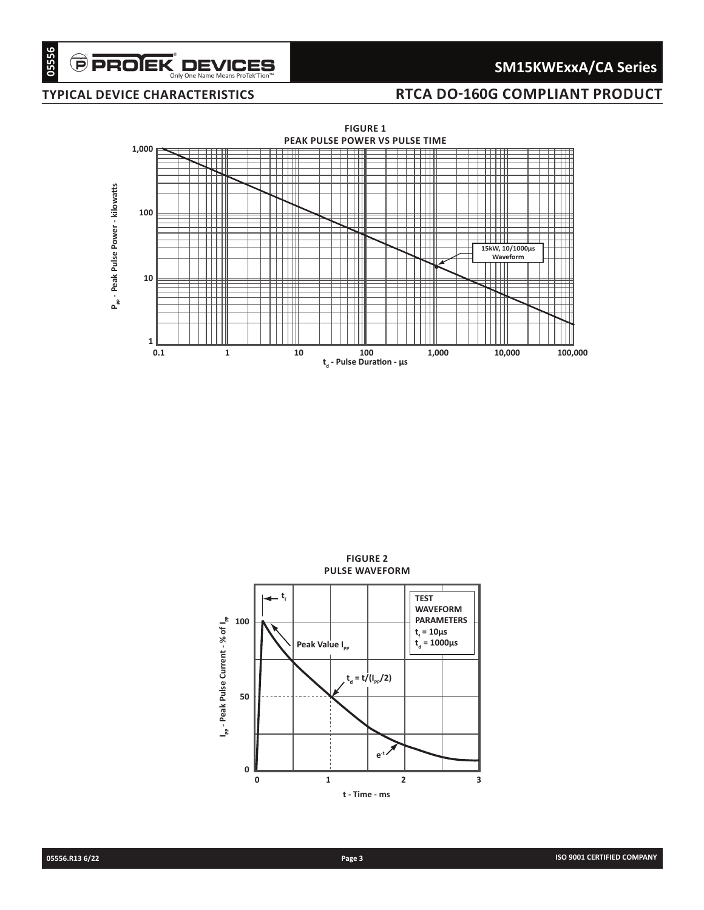# **SM15KWExxA/CA Series**

## **typical device characteristics RTCA DO-160G COMPLIANT PRODUCT**



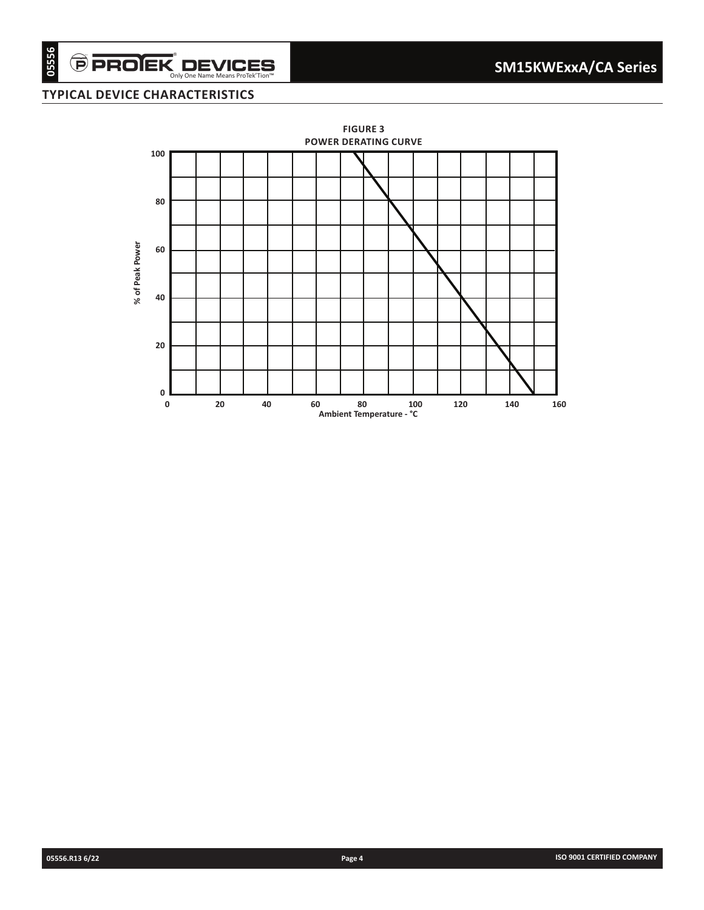$\overset{\frown}{\mathbf{P}}$  **PROIEK** DEVICES

## **typical device characteristics**

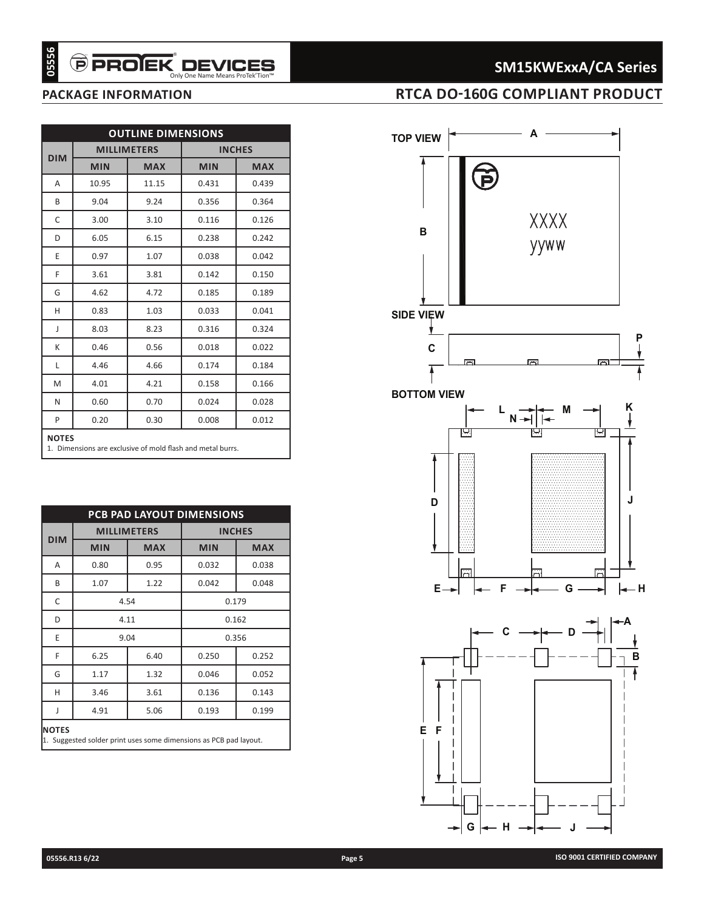# **SM15KWExxA/CA Series**

## **package information RTCA DO-160G COMPLIANT PRODUCT**

|                                      |              | <b>OUTLINE DIMENSIONS</b>        |                                                                              |                             |
|--------------------------------------|--------------|----------------------------------|------------------------------------------------------------------------------|-----------------------------|
| <b>DIM</b>                           | <b>MIN</b>   | <b>MILLIMETERS</b><br><b>MAX</b> | <b>MIN</b>                                                                   | <b>INCHES</b><br><b>MAX</b> |
| A                                    | 10.95        | 11.15                            | 0.431                                                                        | 0.439                       |
| B                                    | 9.04         | 9.24                             | 0.356                                                                        | 0.364                       |
| C                                    | 3.00         | 3.10                             | 0.116                                                                        | 0.126                       |
| D                                    | 6.05         | 6.15                             | 0.238                                                                        | 0.242                       |
| E                                    | 0.97         | 1.07                             | 0.038                                                                        | 0.042                       |
| F                                    | 3.61         | 3.81                             | 0.142                                                                        | 0.150                       |
| G                                    | 4.62         | 4.72                             | 0.185                                                                        | 0.189                       |
| H                                    | 0.83         | 1.03                             | 0.033                                                                        | 0.041                       |
| J                                    | 8.03         | 8.23                             | 0.316                                                                        | 0.324                       |
| К                                    | 0.46         | 0.56                             | 0.018                                                                        | 0.022                       |
| L                                    | 4.46         | 4.66                             | 0.174                                                                        | 0.184                       |
|                                      |              |                                  | 0.158                                                                        | 0.166                       |
|                                      |              |                                  |                                                                              |                             |
|                                      | 4.01         | 4.21                             |                                                                              |                             |
|                                      | 0.60<br>0.20 | 0.70<br>0.30                     | 0.024<br>0.008<br>1. Dimensions are exclusive of mold flash and metal burrs. | 0.028<br>0.012              |
|                                      |              |                                  | PCB PAD LAYOUT DIMENSIONS                                                    |                             |
|                                      |              | <b>MILLIMETERS</b>               |                                                                              | <b>INCHES</b>               |
|                                      | <b>MIN</b>   | <b>MAX</b>                       | <b>MIN</b>                                                                   | <b>MAX</b>                  |
|                                      | 0.80         | 0.95                             | 0.032                                                                        | 0.038                       |
|                                      | 1.07         | 1.22                             | 0.042                                                                        | 0.048                       |
|                                      |              | 4.54                             |                                                                              | 0.179                       |
|                                      |              | 4.11                             |                                                                              | 0.162                       |
| P<br>В<br>Ε                          |              | 9.04                             |                                                                              | 0.356                       |
| N<br>Α<br>С<br>D<br>F                | 6.25         | 6.40                             | 0.250                                                                        | 0.252                       |
| M<br><b>NOTES</b><br><b>DIM</b><br>G | 1.17         | 1.32                             | 0.046                                                                        | 0.052                       |
| н                                    | 3.46         | 3.61                             | 0.136                                                                        | 0.143                       |
| J<br><b>NOTES</b>                    | 4.91         | 5.06                             | 0.193                                                                        | 0.199                       |

| <b>PCB PAD LAYOUT DIMENSIONS</b>                                                  |               |                    |               |            |  |  |  |  |
|-----------------------------------------------------------------------------------|---------------|--------------------|---------------|------------|--|--|--|--|
| <b>DIM</b>                                                                        |               | <b>MILLIMETERS</b> | <b>INCHES</b> |            |  |  |  |  |
|                                                                                   | <b>MIN</b>    | <b>MAX</b>         | <b>MIN</b>    | <b>MAX</b> |  |  |  |  |
| A                                                                                 | 0.80          | 0.95               | 0.032         | 0.038      |  |  |  |  |
| B                                                                                 | 1.07          | 1.22               | 0.042         | 0.048      |  |  |  |  |
| C                                                                                 | 4.54<br>0.179 |                    |               |            |  |  |  |  |
| D                                                                                 | 4.11<br>0.162 |                    |               |            |  |  |  |  |
| E                                                                                 | 9.04<br>0.356 |                    |               |            |  |  |  |  |
| F                                                                                 | 6.25          | 6.40               | 0.250         | 0.252      |  |  |  |  |
| G                                                                                 | 1.17          | 1.32               | 0.046         | 0.052      |  |  |  |  |
| н                                                                                 | 3.46          | 3.61               | 0.136         | 0.143      |  |  |  |  |
| J                                                                                 | 4.91          | 5.06               | 0.193         | 0.199      |  |  |  |  |
| <b>NOTES</b><br>1. Suggested solder print uses some dimensions as PCB pad layout. |               |                    |               |            |  |  |  |  |

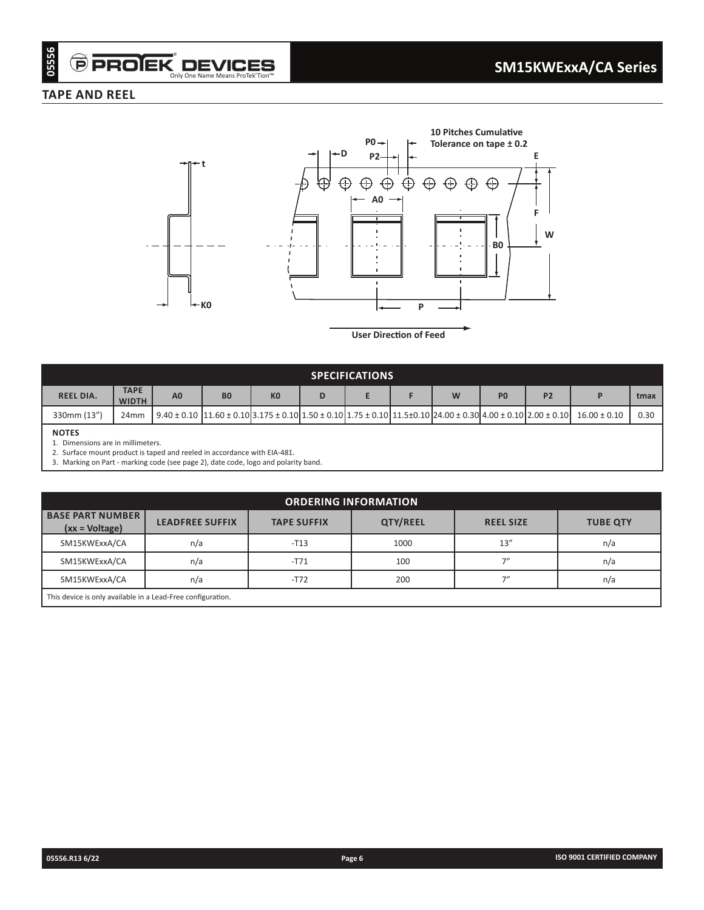## **TAPE AND REEL**



**User Direction of Feed**

| <b>SPECIFICATIONS</b>                                                                                                                                                                                            |                             |                |                                                                                                                                                                               |                |   |  |  |   |                |           |                  |      |
|------------------------------------------------------------------------------------------------------------------------------------------------------------------------------------------------------------------|-----------------------------|----------------|-------------------------------------------------------------------------------------------------------------------------------------------------------------------------------|----------------|---|--|--|---|----------------|-----------|------------------|------|
| <b>REEL DIA.</b>                                                                                                                                                                                                 | <b>TAPE</b><br><b>WIDTH</b> | A <sub>0</sub> | <b>B0</b>                                                                                                                                                                     | K <sub>0</sub> | D |  |  | W | P <sub>0</sub> | <b>P2</b> |                  | tmax |
| 330mm (13")                                                                                                                                                                                                      | 24 <sub>mm</sub>            |                | $9.40 \pm 0.10$  11.60 $\pm$ 0.10  3.175 $\pm$ 0.10   1.50 $\pm$ 0.10   1.75 $\pm$ 0.10   11.5 $\pm$ 0.10   24.00 $\pm$ 0.30   4.00 $\pm$ 0.10   2.00 $\pm$ 0.10   2.00 $\pm$ |                |   |  |  |   |                |           | $16.00 \pm 0.10$ | 0.30 |
| <b>NOTES</b><br>Dimensions are in millimeters.<br>2. Surface mount product is taped and reeled in accordance with EIA-481.<br>3. Marking on Part - marking code (see page 2), date code, logo and polarity band. |                             |                |                                                                                                                                                                               |                |   |  |  |   |                |           |                  |      |

| <b>ORDERING INFORMATION</b>                                 |                        |                    |                 |                  |                 |  |  |  |  |
|-------------------------------------------------------------|------------------------|--------------------|-----------------|------------------|-----------------|--|--|--|--|
| <b>BASE PART NUMBER</b><br>$(xx = Voltage)$                 | <b>LEADFREE SUFFIX</b> | <b>TAPE SUFFIX</b> | <b>QTY/REEL</b> | <b>REEL SIZE</b> | <b>TUBE QTY</b> |  |  |  |  |
| SM15KWExxA/CA                                               | n/a                    | $-T13$             | 1000            | 13''             | n/a             |  |  |  |  |
| SM15KWExxA/CA                                               | n/a                    | $-T71$             | 100             | 7''              | n/a             |  |  |  |  |
| SM15KWExxA/CA                                               | n/a                    | $-T72$             | 200             | <u>וי</u>        | n/a             |  |  |  |  |
| This device is only available in a Lead-Free configuration. |                        |                    |                 |                  |                 |  |  |  |  |